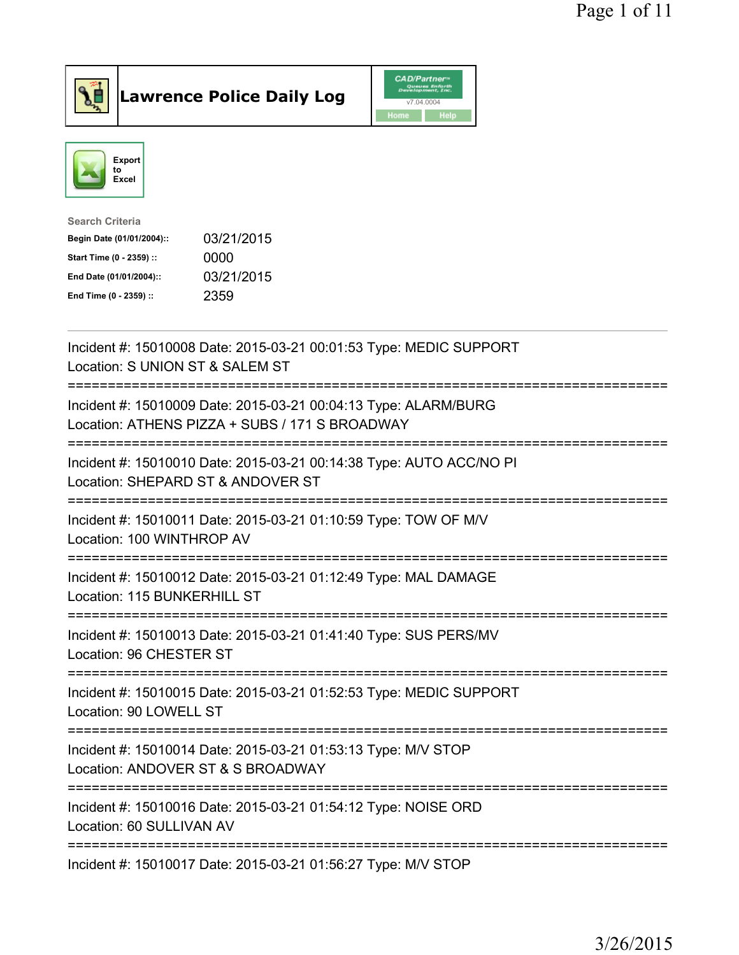

Lawrence Police Daily Log CAD/Partners



| <b>Search Criteria</b>    |            |
|---------------------------|------------|
| Begin Date (01/01/2004):: | 03/21/2015 |
| Start Time (0 - 2359) ::  | 0000       |
| End Date (01/01/2004)::   | 03/21/2015 |
| End Time (0 - 2359) ::    | 2359       |
|                           |            |

| Incident #: 15010008 Date: 2015-03-21 00:01:53 Type: MEDIC SUPPORT<br>Location: S UNION ST & SALEM ST                                                     |
|-----------------------------------------------------------------------------------------------------------------------------------------------------------|
| Incident #: 15010009 Date: 2015-03-21 00:04:13 Type: ALARM/BURG<br>Location: ATHENS PIZZA + SUBS / 171 S BROADWAY                                         |
| Incident #: 15010010 Date: 2015-03-21 00:14:38 Type: AUTO ACC/NO PI<br>Location: SHEPARD ST & ANDOVER ST                                                  |
| Incident #: 15010011 Date: 2015-03-21 01:10:59 Type: TOW OF M/V<br>Location: 100 WINTHROP AV<br>:===================================                      |
| Incident #: 15010012 Date: 2015-03-21 01:12:49 Type: MAL DAMAGE<br>Location: 115 BUNKERHILL ST<br>:====================================                   |
| Incident #: 15010013 Date: 2015-03-21 01:41:40 Type: SUS PERS/MV<br>Location: 96 CHESTER ST                                                               |
| Incident #: 15010015 Date: 2015-03-21 01:52:53 Type: MEDIC SUPPORT<br>Location: 90 LOWELL ST                                                              |
| Incident #: 15010014 Date: 2015-03-21 01:53:13 Type: M/V STOP<br>Location: ANDOVER ST & S BROADWAY                                                        |
| =========================<br>==============================<br>Incident #: 15010016 Date: 2015-03-21 01:54:12 Type: NOISE ORD<br>Location: 60 SULLIVAN AV |
| Incident #: 15010017 Date: 2015-03-21 01:56:27 Type: M/V STOP                                                                                             |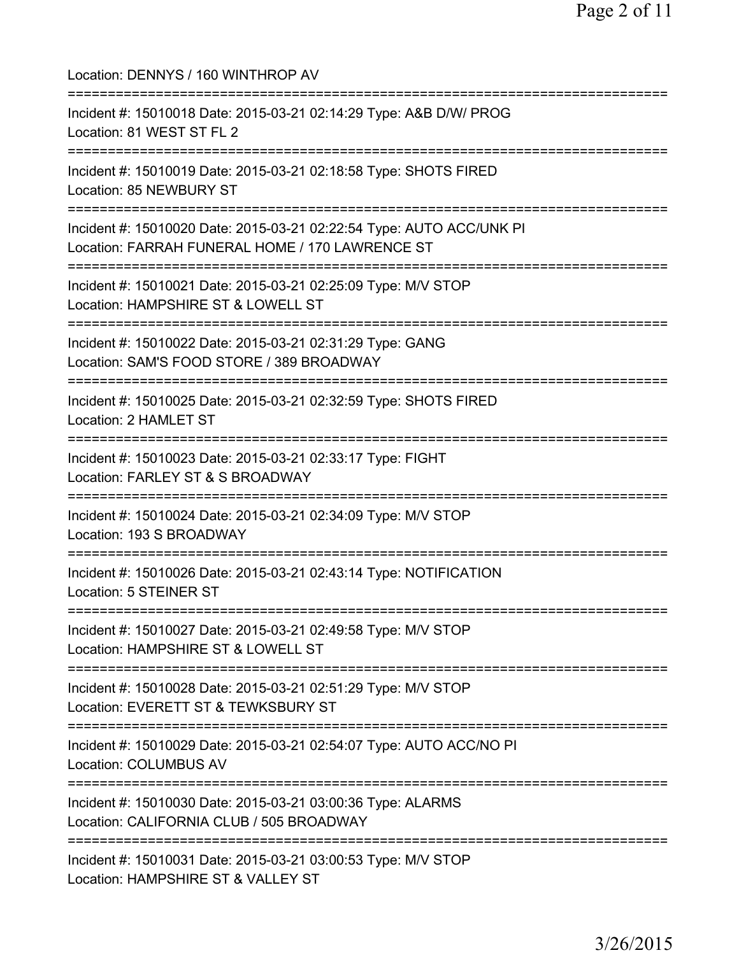| Location: DENNYS / 160 WINTHROP AV                                                                                                       |
|------------------------------------------------------------------------------------------------------------------------------------------|
| Incident #: 15010018 Date: 2015-03-21 02:14:29 Type: A&B D/W/ PROG<br>Location: 81 WEST ST FL 2                                          |
| Incident #: 15010019 Date: 2015-03-21 02:18:58 Type: SHOTS FIRED<br>Location: 85 NEWBURY ST<br>;==========================               |
| Incident #: 15010020 Date: 2015-03-21 02:22:54 Type: AUTO ACC/UNK PI<br>Location: FARRAH FUNERAL HOME / 170 LAWRENCE ST                  |
| Incident #: 15010021 Date: 2015-03-21 02:25:09 Type: M/V STOP<br>Location: HAMPSHIRE ST & LOWELL ST                                      |
| ==============================<br>Incident #: 15010022 Date: 2015-03-21 02:31:29 Type: GANG<br>Location: SAM'S FOOD STORE / 389 BROADWAY |
| Incident #: 15010025 Date: 2015-03-21 02:32:59 Type: SHOTS FIRED<br>Location: 2 HAMLET ST                                                |
| Incident #: 15010023 Date: 2015-03-21 02:33:17 Type: FIGHT<br>Location: FARLEY ST & S BROADWAY                                           |
| Incident #: 15010024 Date: 2015-03-21 02:34:09 Type: M/V STOP<br>Location: 193 S BROADWAY                                                |
| Incident #: 15010026 Date: 2015-03-21 02:43:14 Type: NOTIFICATION<br>Location: 5 STEINER ST                                              |
| Incident #: 15010027 Date: 2015-03-21 02:49:58 Type: M/V STOP<br>Location: HAMPSHIRE ST & LOWELL ST                                      |
| Incident #: 15010028 Date: 2015-03-21 02:51:29 Type: M/V STOP<br>Location: EVERETT ST & TEWKSBURY ST                                     |
| Incident #: 15010029 Date: 2015-03-21 02:54:07 Type: AUTO ACC/NO PI<br><b>Location: COLUMBUS AV</b>                                      |
| ----------------<br>Incident #: 15010030 Date: 2015-03-21 03:00:36 Type: ALARMS<br>Location: CALIFORNIA CLUB / 505 BROADWAY              |
| ======================<br>Incident #: 15010031 Date: 2015-03-21 03:00:53 Type: M/V STOP<br>Location: HAMPSHIRE ST & VALLEY ST            |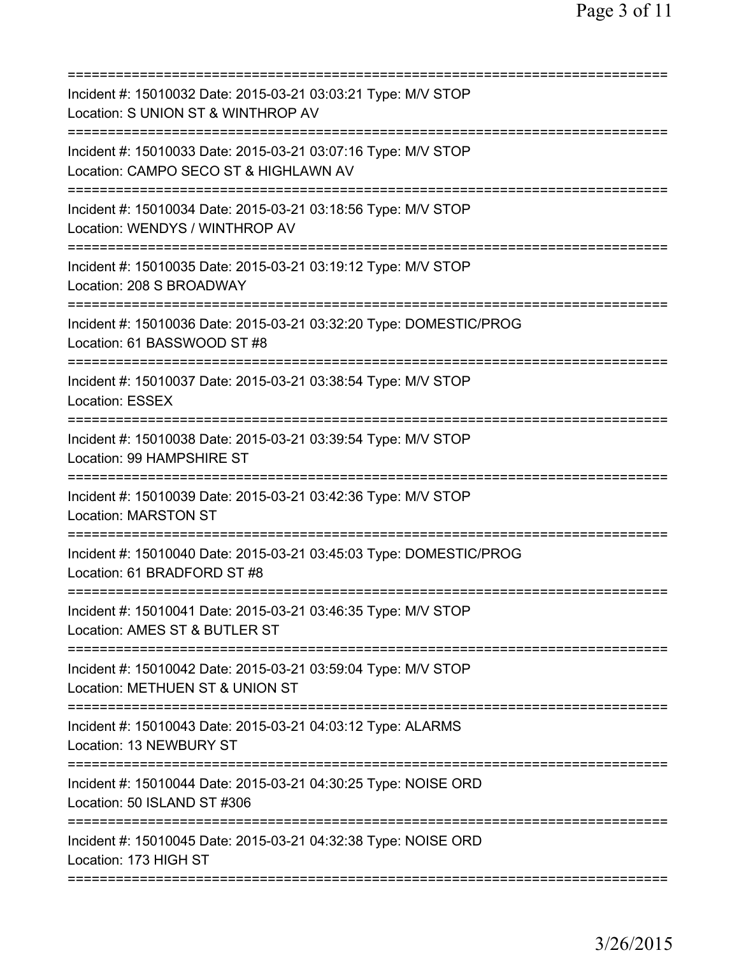| Incident #: 15010032 Date: 2015-03-21 03:03:21 Type: M/V STOP<br>Location: S UNION ST & WINTHROP AV                  |
|----------------------------------------------------------------------------------------------------------------------|
| Incident #: 15010033 Date: 2015-03-21 03:07:16 Type: M/V STOP<br>Location: CAMPO SECO ST & HIGHLAWN AV               |
| Incident #: 15010034 Date: 2015-03-21 03:18:56 Type: M/V STOP<br>Location: WENDYS / WINTHROP AV                      |
| Incident #: 15010035 Date: 2015-03-21 03:19:12 Type: M/V STOP<br>Location: 208 S BROADWAY                            |
| Incident #: 15010036 Date: 2015-03-21 03:32:20 Type: DOMESTIC/PROG<br>Location: 61 BASSWOOD ST #8                    |
| Incident #: 15010037 Date: 2015-03-21 03:38:54 Type: M/V STOP<br>Location: ESSEX                                     |
| Incident #: 15010038 Date: 2015-03-21 03:39:54 Type: M/V STOP<br>Location: 99 HAMPSHIRE ST                           |
| Incident #: 15010039 Date: 2015-03-21 03:42:36 Type: M/V STOP<br><b>Location: MARSTON ST</b><br>==================== |
| Incident #: 15010040 Date: 2015-03-21 03:45:03 Type: DOMESTIC/PROG<br>Location: 61 BRADFORD ST #8                    |
| Incident #: 15010041 Date: 2015-03-21 03:46:35 Type: M/V STOP<br>Location: AMES ST & BUTLER ST                       |
| Incident #: 15010042 Date: 2015-03-21 03:59:04 Type: M/V STOP<br>Location: METHUEN ST & UNION ST                     |
| Incident #: 15010043 Date: 2015-03-21 04:03:12 Type: ALARMS<br>Location: 13 NEWBURY ST                               |
| Incident #: 15010044 Date: 2015-03-21 04:30:25 Type: NOISE ORD<br>Location: 50 ISLAND ST #306                        |
| Incident #: 15010045 Date: 2015-03-21 04:32:38 Type: NOISE ORD<br>Location: 173 HIGH ST                              |
|                                                                                                                      |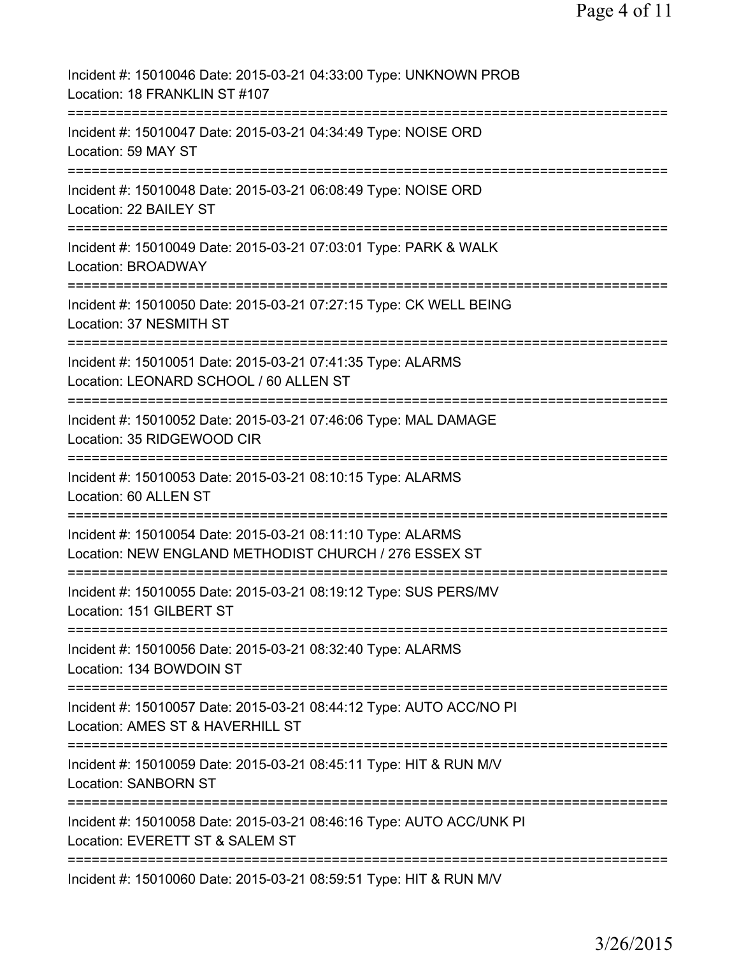| Incident #: 15010046 Date: 2015-03-21 04:33:00 Type: UNKNOWN PROB<br>Location: 18 FRANKLIN ST #107                                          |
|---------------------------------------------------------------------------------------------------------------------------------------------|
| Incident #: 15010047 Date: 2015-03-21 04:34:49 Type: NOISE ORD<br>Location: 59 MAY ST                                                       |
| Incident #: 15010048 Date: 2015-03-21 06:08:49 Type: NOISE ORD<br>Location: 22 BAILEY ST                                                    |
| Incident #: 15010049 Date: 2015-03-21 07:03:01 Type: PARK & WALK<br>Location: BROADWAY                                                      |
| Incident #: 15010050 Date: 2015-03-21 07:27:15 Type: CK WELL BEING<br>Location: 37 NESMITH ST                                               |
| Incident #: 15010051 Date: 2015-03-21 07:41:35 Type: ALARMS<br>Location: LEONARD SCHOOL / 60 ALLEN ST                                       |
| Incident #: 15010052 Date: 2015-03-21 07:46:06 Type: MAL DAMAGE<br>Location: 35 RIDGEWOOD CIR                                               |
| Incident #: 15010053 Date: 2015-03-21 08:10:15 Type: ALARMS<br>Location: 60 ALLEN ST                                                        |
| ===================<br>Incident #: 15010054 Date: 2015-03-21 08:11:10 Type: ALARMS<br>Location: NEW ENGLAND METHODIST CHURCH / 276 ESSEX ST |
| Incident #: 15010055 Date: 2015-03-21 08:19:12 Type: SUS PERS/MV<br>Location: 151 GILBERT ST                                                |
| Incident #: 15010056 Date: 2015-03-21 08:32:40 Type: ALARMS<br>Location: 134 BOWDOIN ST                                                     |
| Incident #: 15010057 Date: 2015-03-21 08:44:12 Type: AUTO ACC/NO PI<br>Location: AMES ST & HAVERHILL ST                                     |
| Incident #: 15010059 Date: 2015-03-21 08:45:11 Type: HIT & RUN M/V<br><b>Location: SANBORN ST</b>                                           |
| Incident #: 15010058 Date: 2015-03-21 08:46:16 Type: AUTO ACC/UNK PI<br>Location: EVERETT ST & SALEM ST                                     |
| Incident #: 15010060 Date: 2015-03-21 08:59:51 Type: HIT & RUN M/V                                                                          |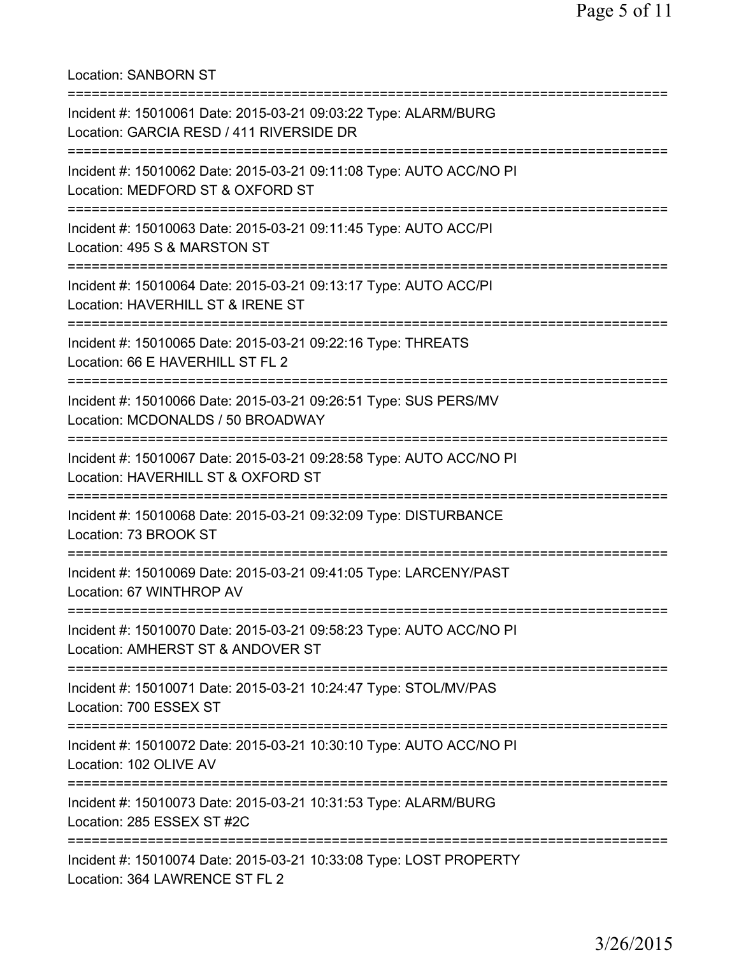=========================================================================== Incident #: 15010061 Date: 2015-03-21 09:03:22 Type: ALARM/BURG Location: GARCIA RESD / 411 RIVERSIDE DR =========================================================================== Incident #: 15010062 Date: 2015-03-21 09:11:08 Type: AUTO ACC/NO PI Location: MEDFORD ST & OXFORD ST =========================================================================== Incident #: 15010063 Date: 2015-03-21 09:11:45 Type: AUTO ACC/PI Location: 495 S & MARSTON ST =========================================================================== Incident #: 15010064 Date: 2015-03-21 09:13:17 Type: AUTO ACC/PI Location: HAVERHILL ST & IRENE ST =========================================================================== Incident #: 15010065 Date: 2015-03-21 09:22:16 Type: THREATS Location: 66 E HAVERHILL ST FL 2 =========================================================================== Incident #: 15010066 Date: 2015-03-21 09:26:51 Type: SUS PERS/MV Location: MCDONALDS / 50 BROADWAY =========================================================================== Incident #: 15010067 Date: 2015-03-21 09:28:58 Type: AUTO ACC/NO PI Location: HAVERHILL ST & OXFORD ST =========================================================================== Incident #: 15010068 Date: 2015-03-21 09:32:09 Type: DISTURBANCE Location: 73 BROOK ST =========================================================================== Incident #: 15010069 Date: 2015-03-21 09:41:05 Type: LARCENY/PAST Location: 67 WINTHROP AV =========================================================================== Incident #: 15010070 Date: 2015-03-21 09:58:23 Type: AUTO ACC/NO PI Location: AMHERST ST & ANDOVER ST =========================================================================== Incident #: 15010071 Date: 2015-03-21 10:24:47 Type: STOL/MV/PAS Location: 700 ESSEX ST =========================================================================== Incident #: 15010072 Date: 2015-03-21 10:30:10 Type: AUTO ACC/NO PI Location: 102 OLIVE AV =========================================================================== Incident #: 15010073 Date: 2015-03-21 10:31:53 Type: ALARM/BURG Location: 285 ESSEX ST #2C =========================================================================== Incident #: 15010074 Date: 2015-03-21 10:33:08 Type: LOST PROPERTY Location: 364 LAWRENCE ST FL 2

Location: SANBORN ST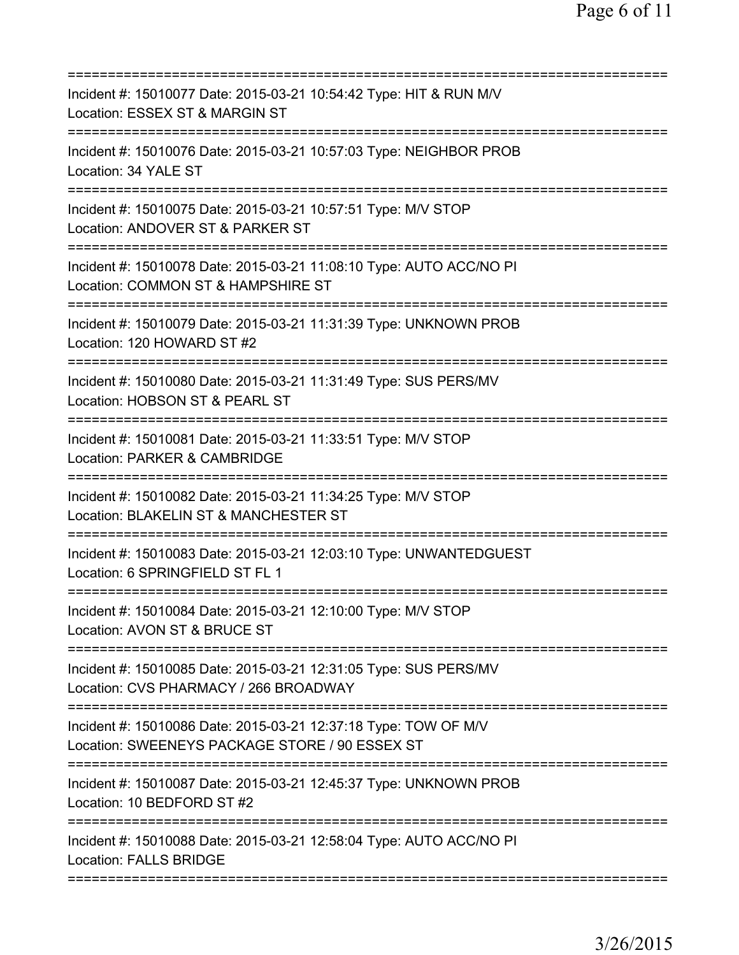| Incident #: 15010077 Date: 2015-03-21 10:54:42 Type: HIT & RUN M/V<br>Location: ESSEX ST & MARGIN ST                                           |
|------------------------------------------------------------------------------------------------------------------------------------------------|
| Incident #: 15010076 Date: 2015-03-21 10:57:03 Type: NEIGHBOR PROB<br>Location: 34 YALE ST                                                     |
| Incident #: 15010075 Date: 2015-03-21 10:57:51 Type: M/V STOP<br>Location: ANDOVER ST & PARKER ST                                              |
| Incident #: 15010078 Date: 2015-03-21 11:08:10 Type: AUTO ACC/NO PI<br>Location: COMMON ST & HAMPSHIRE ST                                      |
| Incident #: 15010079 Date: 2015-03-21 11:31:39 Type: UNKNOWN PROB<br>Location: 120 HOWARD ST #2                                                |
| ;==================================<br>Incident #: 15010080 Date: 2015-03-21 11:31:49 Type: SUS PERS/MV<br>Location: HOBSON ST & PEARL ST      |
| Incident #: 15010081 Date: 2015-03-21 11:33:51 Type: M/V STOP<br>Location: PARKER & CAMBRIDGE<br>=============                                 |
| Incident #: 15010082 Date: 2015-03-21 11:34:25 Type: M/V STOP<br>Location: BLAKELIN ST & MANCHESTER ST                                         |
| Incident #: 15010083 Date: 2015-03-21 12:03:10 Type: UNWANTEDGUEST<br>Location: 6 SPRINGFIELD ST FL 1                                          |
| Incident #: 15010084 Date: 2015-03-21 12:10:00 Type: M/V STOP<br>Location: AVON ST & BRUCE ST                                                  |
| Incident #: 15010085 Date: 2015-03-21 12:31:05 Type: SUS PERS/MV<br>Location: CVS PHARMACY / 266 BROADWAY                                      |
| Incident #: 15010086 Date: 2015-03-21 12:37:18 Type: TOW OF M/V<br>Location: SWEENEYS PACKAGE STORE / 90 ESSEX ST<br>========================= |
| Incident #: 15010087 Date: 2015-03-21 12:45:37 Type: UNKNOWN PROB<br>Location: 10 BEDFORD ST #2                                                |
| ======================================<br>Incident #: 15010088 Date: 2015-03-21 12:58:04 Type: AUTO ACC/NO PI<br><b>Location: FALLS BRIDGE</b> |
|                                                                                                                                                |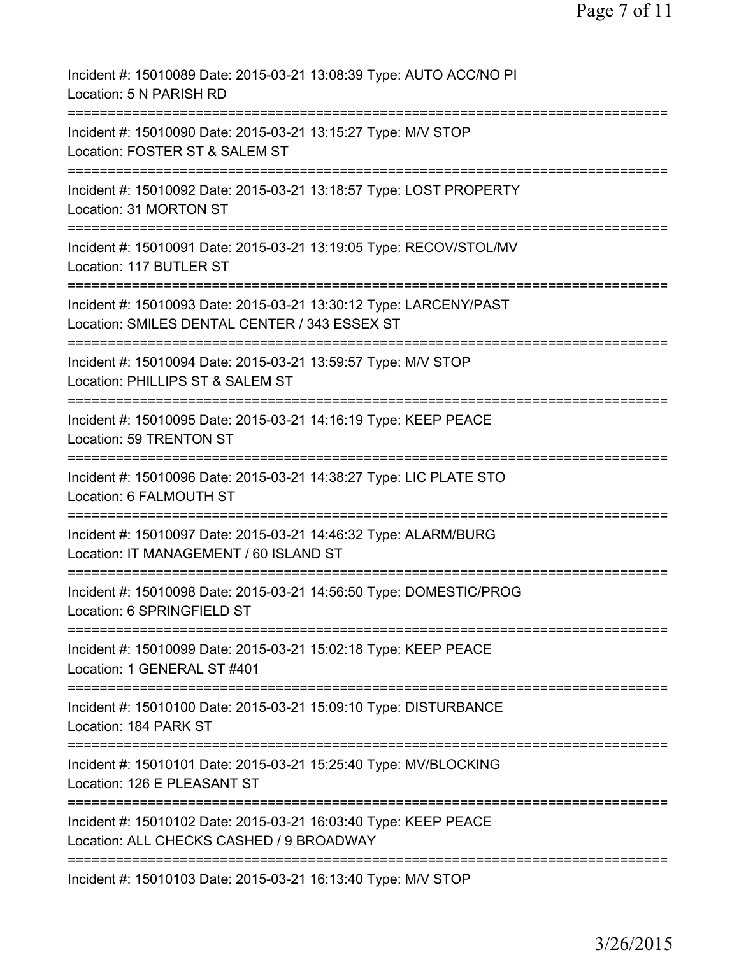Page 7 of 11

| Incident #: 15010089 Date: 2015-03-21 13:08:39 Type: AUTO ACC/NO PI<br>Location: 5 N PARISH RD                                                             |
|------------------------------------------------------------------------------------------------------------------------------------------------------------|
| Incident #: 15010090 Date: 2015-03-21 13:15:27 Type: M/V STOP<br>Location: FOSTER ST & SALEM ST                                                            |
| Incident #: 15010092 Date: 2015-03-21 13:18:57 Type: LOST PROPERTY<br>Location: 31 MORTON ST                                                               |
| Incident #: 15010091 Date: 2015-03-21 13:19:05 Type: RECOV/STOL/MV<br>Location: 117 BUTLER ST                                                              |
| Incident #: 15010093 Date: 2015-03-21 13:30:12 Type: LARCENY/PAST<br>Location: SMILES DENTAL CENTER / 343 ESSEX ST<br>==================================== |
| Incident #: 15010094 Date: 2015-03-21 13:59:57 Type: M/V STOP<br>Location: PHILLIPS ST & SALEM ST                                                          |
| ===========================<br>-----------<br>Incident #: 15010095 Date: 2015-03-21 14:16:19 Type: KEEP PEACE<br>Location: 59 TRENTON ST                   |
| Incident #: 15010096 Date: 2015-03-21 14:38:27 Type: LIC PLATE STO<br>Location: 6 FALMOUTH ST                                                              |
| Incident #: 15010097 Date: 2015-03-21 14:46:32 Type: ALARM/BURG<br>Location: IT MANAGEMENT / 60 ISLAND ST                                                  |
| Incident #: 15010098 Date: 2015-03-21 14:56:50 Type: DOMESTIC/PROG<br>Location: 6 SPRINGFIELD ST                                                           |
| Incident #: 15010099 Date: 2015-03-21 15:02:18 Type: KEEP PEACE<br>Location: 1 GENERAL ST #401                                                             |
| ------------------------<br>Incident #: 15010100 Date: 2015-03-21 15:09:10 Type: DISTURBANCE<br>Location: 184 PARK ST                                      |
| Incident #: 15010101 Date: 2015-03-21 15:25:40 Type: MV/BLOCKING<br>Location: 126 E PLEASANT ST                                                            |
| Incident #: 15010102 Date: 2015-03-21 16:03:40 Type: KEEP PEACE<br>Location: ALL CHECKS CASHED / 9 BROADWAY                                                |
| Incident #: 15010103 Date: 2015-03-21 16:13:40 Type: M/V STOP                                                                                              |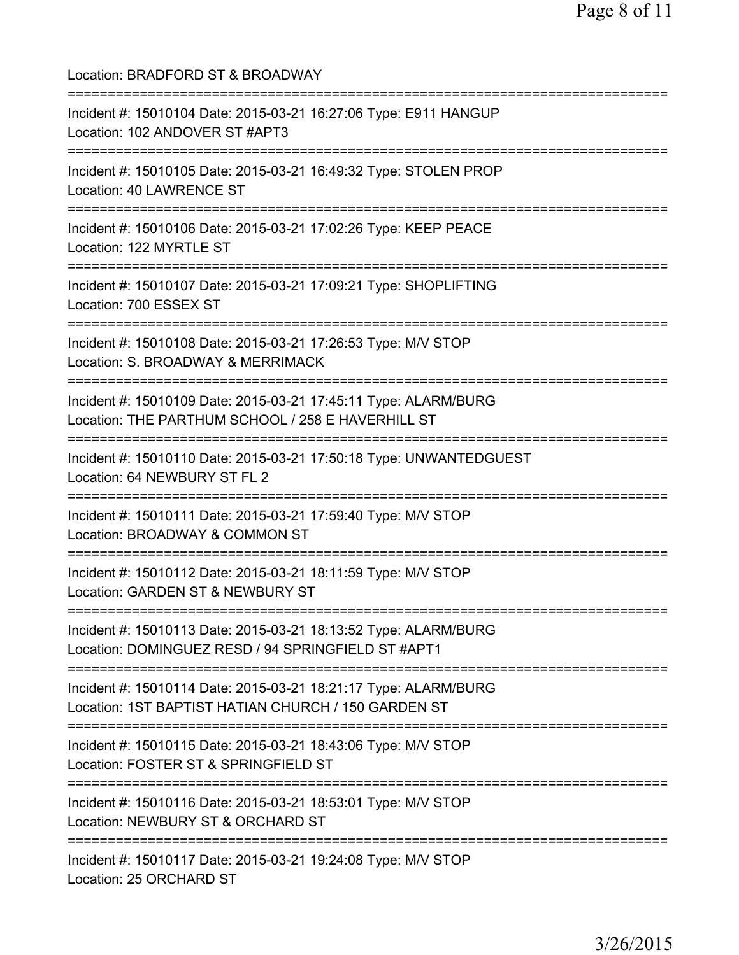Location: BRADFORD ST & BROADWAY =========================================================================== Incident #: 15010104 Date: 2015-03-21 16:27:06 Type: E911 HANGUP Location: 102 ANDOVER ST #APT3 =========================================================================== Incident #: 15010105 Date: 2015-03-21 16:49:32 Type: STOLEN PROP Location: 40 LAWRENCE ST =========================================================================== Incident #: 15010106 Date: 2015-03-21 17:02:26 Type: KEEP PEACE Location: 122 MYRTLE ST =========================================================================== Incident #: 15010107 Date: 2015-03-21 17:09:21 Type: SHOPLIFTING Location: 700 ESSEX ST =========================================================================== Incident #: 15010108 Date: 2015-03-21 17:26:53 Type: M/V STOP Location: S. BROADWAY & MERRIMACK =========================================================================== Incident #: 15010109 Date: 2015-03-21 17:45:11 Type: ALARM/BURG Location: THE PARTHUM SCHOOL / 258 E HAVERHILL ST =========================================================================== Incident #: 15010110 Date: 2015-03-21 17:50:18 Type: UNWANTEDGUEST Location: 64 NEWBURY ST FL 2 =========================================================================== Incident #: 15010111 Date: 2015-03-21 17:59:40 Type: M/V STOP Location: BROADWAY & COMMON ST =========================================================================== Incident #: 15010112 Date: 2015-03-21 18:11:59 Type: M/V STOP Location: GARDEN ST & NEWBURY ST =========================================================================== Incident #: 15010113 Date: 2015-03-21 18:13:52 Type: ALARM/BURG Location: DOMINGUEZ RESD / 94 SPRINGFIELD ST #APT1 =========================================================================== Incident #: 15010114 Date: 2015-03-21 18:21:17 Type: ALARM/BURG Location: 1ST BAPTIST HATIAN CHURCH / 150 GARDEN ST =========================================================================== Incident #: 15010115 Date: 2015-03-21 18:43:06 Type: M/V STOP Location: FOSTER ST & SPRINGFIELD ST =========================================================================== Incident #: 15010116 Date: 2015-03-21 18:53:01 Type: M/V STOP Location: NEWBURY ST & ORCHARD ST =========================================================================== Incident #: 15010117 Date: 2015-03-21 19:24:08 Type: M/V STOP Location: 25 ORCHARD ST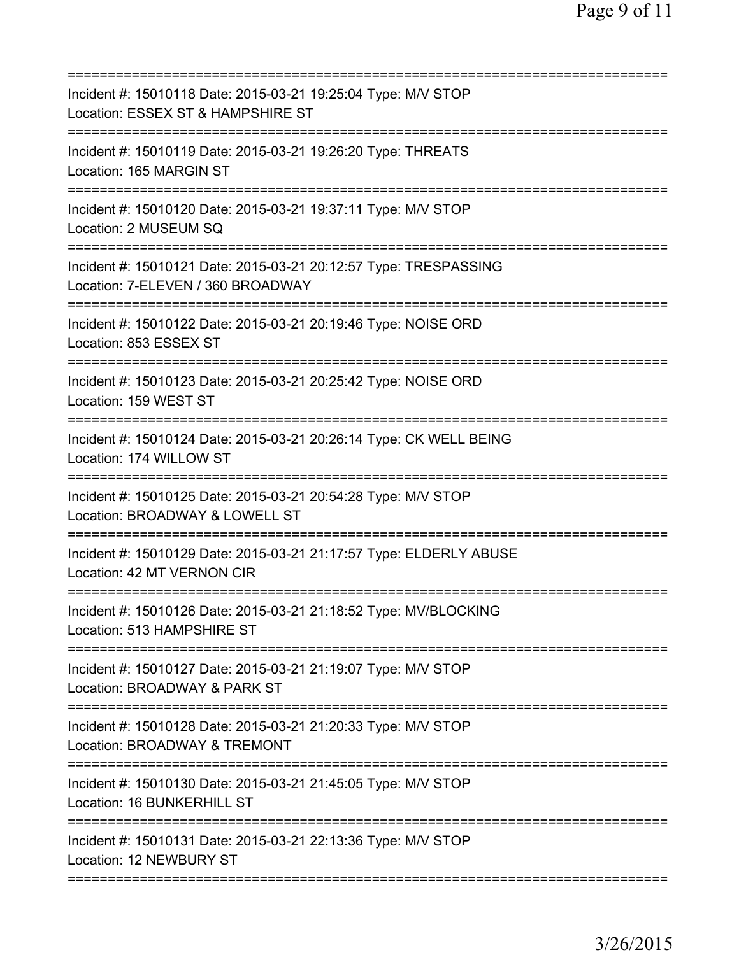| ==========================                                                                                             |
|------------------------------------------------------------------------------------------------------------------------|
| Incident #: 15010118 Date: 2015-03-21 19:25:04 Type: M/V STOP<br>Location: ESSEX ST & HAMPSHIRE ST                     |
| Incident #: 15010119 Date: 2015-03-21 19:26:20 Type: THREATS<br>Location: 165 MARGIN ST                                |
| Incident #: 15010120 Date: 2015-03-21 19:37:11 Type: M/V STOP<br>Location: 2 MUSEUM SQ                                 |
| Incident #: 15010121 Date: 2015-03-21 20:12:57 Type: TRESPASSING<br>Location: 7-ELEVEN / 360 BROADWAY                  |
| Incident #: 15010122 Date: 2015-03-21 20:19:46 Type: NOISE ORD<br>Location: 853 ESSEX ST                               |
| Incident #: 15010123 Date: 2015-03-21 20:25:42 Type: NOISE ORD<br>Location: 159 WEST ST                                |
| Incident #: 15010124 Date: 2015-03-21 20:26:14 Type: CK WELL BEING<br>Location: 174 WILLOW ST<br>===========           |
| Incident #: 15010125 Date: 2015-03-21 20:54:28 Type: M/V STOP<br>Location: BROADWAY & LOWELL ST                        |
| Incident #: 15010129 Date: 2015-03-21 21:17:57 Type: ELDERLY ABUSE<br>Location: 42 MT VERNON CIR<br>================== |
| Incident #: 15010126 Date: 2015-03-21 21:18:52 Type: MV/BLOCKING<br>Location: 513 HAMPSHIRE ST                         |
| Incident #: 15010127 Date: 2015-03-21 21:19:07 Type: M/V STOP<br>Location: BROADWAY & PARK ST                          |
| Incident #: 15010128 Date: 2015-03-21 21:20:33 Type: M/V STOP<br>Location: BROADWAY & TREMONT                          |
| Incident #: 15010130 Date: 2015-03-21 21:45:05 Type: M/V STOP<br>Location: 16 BUNKERHILL ST                            |
| Incident #: 15010131 Date: 2015-03-21 22:13:36 Type: M/V STOP<br>Location: 12 NEWBURY ST                               |
|                                                                                                                        |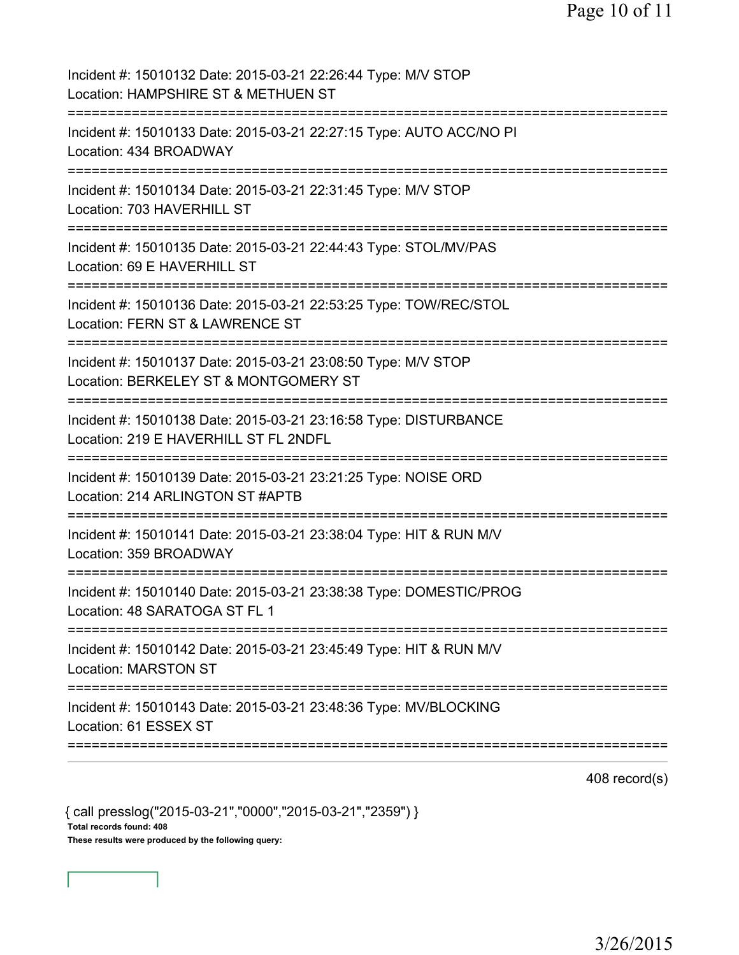Page 10 of 11

| Incident #: 15010132 Date: 2015-03-21 22:26:44 Type: M/V STOP<br>Location: HAMPSHIRE ST & METHUEN ST                                                                 |
|----------------------------------------------------------------------------------------------------------------------------------------------------------------------|
| Incident #: 15010133 Date: 2015-03-21 22:27:15 Type: AUTO ACC/NO PI<br>Location: 434 BROADWAY                                                                        |
| Incident #: 15010134 Date: 2015-03-21 22:31:45 Type: M/V STOP<br>Location: 703 HAVERHILL ST                                                                          |
| Incident #: 15010135 Date: 2015-03-21 22:44:43 Type: STOL/MV/PAS<br>Location: 69 E HAVERHILL ST                                                                      |
| Incident #: 15010136 Date: 2015-03-21 22:53:25 Type: TOW/REC/STOL<br>Location: FERN ST & LAWRENCE ST<br>=========                                                    |
| :=======================<br>Incident #: 15010137 Date: 2015-03-21 23:08:50 Type: M/V STOP<br>Location: BERKELEY ST & MONTGOMERY ST<br>============================== |
| Incident #: 15010138 Date: 2015-03-21 23:16:58 Type: DISTURBANCE<br>Location: 219 E HAVERHILL ST FL 2NDFL                                                            |
| Incident #: 15010139 Date: 2015-03-21 23:21:25 Type: NOISE ORD<br>Location: 214 ARLINGTON ST #APTB                                                                   |
| Incident #: 15010141 Date: 2015-03-21 23:38:04 Type: HIT & RUN M/V<br>Location: 359 BROADWAY                                                                         |
| Incident #: 15010140 Date: 2015-03-21 23:38:38 Type: DOMESTIC/PROG<br>Location: 48 SARATOGA ST FL 1                                                                  |
| Incident #: 15010142 Date: 2015-03-21 23:45:49 Type: HIT & RUN M/V<br><b>Location: MARSTON ST</b>                                                                    |
| Incident #: 15010143 Date: 2015-03-21 23:48:36 Type: MV/BLOCKING<br>Location: 61 ESSEX ST                                                                            |

408 record(s)

{ call presslog("2015-03-21","0000","2015-03-21","2359") } Total records found: 408 These results were produced by the following query: